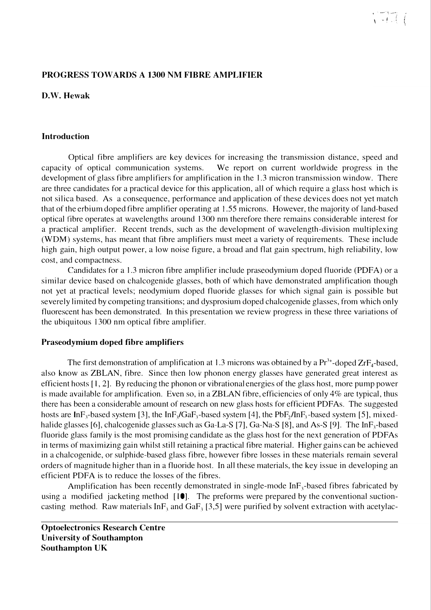### **PROGRESS TOW ARDS A 1300 NM FIBRE AMPLIFIER**

**D.W. Hewak**

#### **Introduction**

Optical fibre amplifiers are key devices for increasing the transmission distance, speed and capacity of optical communication systems. We report on current worldwide progress in the development of glass fibre amplifiers for amplification in the 1.3 micron transmission window. There are three candidates for a practical device for this application, all of which require a glass host which is not silica based. As a consequence, performance and application of these devices does not yet match that of the erbium doped fibre amplifier operating at 1.55 microns. However, the majority of land-based optical fibre operates at wavelengths around 1300 nm therefore there remains considerable interest for a practical amplifier. Recent trends, such as the development of wavelength-division multiplexing (WDM) systems, has meant that fibre amplifiers must meet a variety of requirements. These include high gain, high output power, a low noise figure, a broad and flat gain spectrum, high reliability, low cost, and compactness.

Candidates for a 1.3 micron fibre amplifier include praseodymium doped fluoride **(PDFA)** or a similar device based on chalcogenide glasses, both of which have demonstrated amplification though not yet at practical levels; neodymium doped fluoride glasses for which signal gain is possible but severely limited by competing transitions; and dysprosium doped chalcogenide glasses, from which only fluorescent has been demonstrated. In this presentation we review progress in these three variations of the ubiquitous 1300 nm optical fibre amplifier.

#### **Praseodymium doped fibre amplifiers**

The first demonstration of amplification at 1.3 microns was obtained by a  $Pr<sup>3+</sup>$ -doped  $ZrF<sub>4</sub>$ -based, also know as ZBLAN, fibre. Since then low phonon energy glasses have generated great interest as efficient hosts [I, 2]. By reducing the phonon or vibrational energies of the glass host, more pump power is made available for amplification. Even so, in a ZBLAN fibre, efficiencies of only 4% are typical, thus there has been a considerable amount of research on new glass hosts for efficient PDFAs. The suggested hosts are  $InF_3$ -based system [3], the  $InF_3/GaF_3$ -based system [4], the PbF<sub>2</sub>/InF<sub>3</sub>-based system [5], mixedhalide glasses [6], chalcogenide glasses such as Ga-La-S [7], Ga-Na-S [8], and As-S [9]. The  $\text{InF}_3$ -based fluoride glass family is the most promising candidate as the glass host for the next generation of PDFAs in terms of maximizing gain whilst still retaining a practical fibre material. Higher gains can be achieved in a chalcogenide, or sulphide-based glass fibre, however fibre losses in these materials remain several orders of magnitude higher than in a fluoride host. In all these materials, the key issue in developing an efficient PDFA is to reduce the losses of the fibres.

Amplification has been recently demonstrated in single-mode  $Inf_{3}$ -based fibres fabricated by using a modified jacketing method  $\text{[10]}$ . The preforms were prepared by the conventional suctioncasting method. Raw materials InF<sub>3</sub> and GaF<sub>3</sub> [3,5] were purified by solvent extraction with acetylac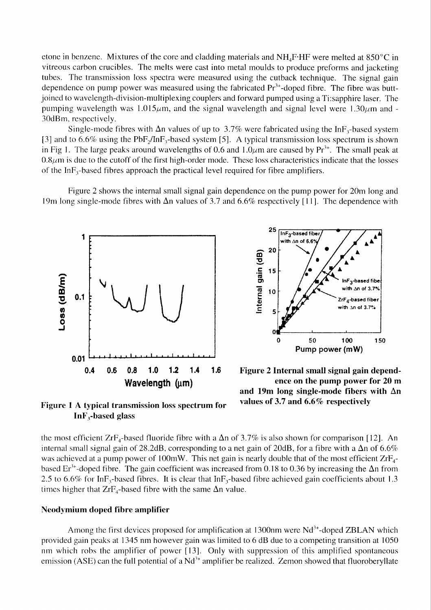etone in benzene. Mixtures of the core and cladding materials and  $NH_4F$  HF were melted at 850 °C in vitreous carbon crucibles. The melts were cast into metal moulds to produce preforms and jacketing tubes. The transmission loss spectra were measured using the cutback technique. The signal gain dependence on pump power was measured using the fabricated  $Pr<sup>3+</sup>$ -doped fibre. The fibre was buttjoined to wavelength-division-multiplexing couplers and forward pumped using a Ti:sapphire laser. The pumping wavelength was  $1.015\mu$ m, and the signal wavelength and signal level were  $1.30\mu$ m and -30dBm, respectively.

Single-mode fibres with  $\Delta n$  values of up to 3.7% were fabricated using the InF<sub>3</sub>-based system [3] and to 6.6% using the PbF<sub>2</sub>/InF<sub>2</sub>-based system [5]. A typical transmission loss spectrum is shown in Fig 1. The large peaks around wavelengths of 0.6 and 1.0 $\mu$ m are caused by Pr<sup>3+</sup>. The small peak at  $0.8\mu$ m is due to the cutoff of the first high-order mode. These loss characteristics indicate that the losses of the In $F_3$ -based fibres approach the practical level required for fibre amplifiers.

Figure 2 shows the internal small signal gain dependence on the pump power for 20m long and 19m long single-mode fibres with  $\Delta n$  values of 3.7 and 6.6% respectively [11]. The dependence with





Figure 2 Internal small signal gain dependence on the pump power for 20 m and 19m long single-mode fibers with  $\Delta n$ values of 3.7 and 6.6% respectively

Figure 1 A typical transmission loss spectrum for  $InF<sub>3</sub>-based glass$ 

the most efficient  $ZrF_4$ -based fluoride fibre with a  $\Delta n$  of 3.7% is also shown for comparison [12]. An internal small signal gain of 28.2dB, corresponding to a net gain of 20dB, for a fibre with a  $\Delta n$  of 6.6% was achieved at a pump power of 100mW. This net gain is nearly double that of the most efficient  $ZrF_4$ based  $Er^{3+}$ -doped fibre. The gain coefficient was increased from 0.18 to 0.36 by increasing the  $\Delta n$  from 2.5 to 6.6% for InF<sub>3</sub>-based fibres. It is clear that InF<sub>3</sub>-based fibre achieved gain coefficients about 1.3 times higher that  $ZrF_4$ -based fibre with the same  $\Delta n$  value.

#### Neodymium doped fibre amplifier

Among the first devices proposed for amplification at 1300nm were Nd<sup>3+</sup>-doped ZBLAN which provided gain peaks at 1345 nm however gain was limited to 6 dB due to a competing transition at 1050 nm which robs the amplifier of power [13]. Only with suppression of this amplified spontaneous emission (ASE) can the full potential of a Nd<sup>3+</sup> amplifier be realized. Zemon showed that fluoroberyllate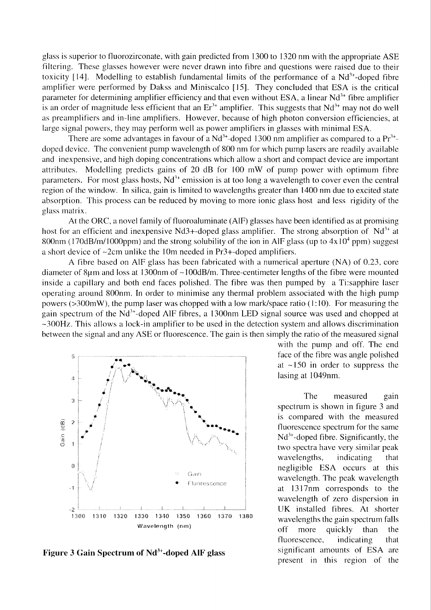glass is superior to fluorozirconate, with gain predicted from 1300 to 1320 nm with the appropriate ASE filtering. These glasses however were never drawn into fibre and questions were raised due to their toxicity [14]. Modelling to establish fundamental limits of the performance of a  $Nd^{3+}$ -doped fibre amplifier were performed by Dakss and Miniscalco [15]. They concluded that ESA is the critical parameter for determining amplifier efficiency and that even without ESA, a linear Nd<sup>3+</sup> fibre amplifier is an order of magnitude less efficient that an  $Er^{3+}$  amplifier. This suggests that  $Nd^{3+}$  may not do well as preamplifiers and in-line amplifiers. However, because of high photon conversion efficiencies, at large signal powers, they may perform well as power amplifiers in glasses with minimal ESA.

There are some advantages in favour of a  $Nd^{3+}$ -doped 1300 nm amplifier as compared to a  $Pr^{3+}$ doped device. The convenient pump wavelength of 800 nm for which pump lasers are readily available and inexpensive, and high doping concentrations which allow a short and compact device are important attributes. Modelling predicts gains of 20 dB for 100 mW of pump power with optimum fibre parameters. For most glass hosts,  $Nd^{3+}$  emission is at too long a wavelength to cover even the central region of the window. In silica, gain is limited to wavelengths greater than 1400 nm due to excited state absorption. This process can be reduced by moving to more ionic glass host and less rigidity of the glass matrix.

At the ORC, a novel family of fluoroaluminate (AIF) glasses have been identified as at promising host for an efficient and inexpensive Nd3+-doped glass amplifier. The strong absorption of Nd<sup>3+</sup> at 800nm (170dB/m/1000ppm) and the strong solubility of the ion in AIF glass (up to  $4x10^4$  ppm) suggest a short device of  $\sim$ 2cm unlike the 10m needed in Pr3+-doped amplifiers.

A fibre based on AlF glass has been fabricated with a numerical aperture (NA) of 0.23, core diameter of 8µm and loss at 1300nm of ~100dB/m. Three-centimeter lengths of the fibre were mounted inside a capillary and both end faces polished. The fibre was then pumped by a Ti:sapphire laser operating around 800nm. In order to minimise any thermal problem associated with the high pump powers ( $>300$ mW), the pump laser was chopped with a low mark/space ratio (1:10). For measuring the gain spectrum of the Nd<sup>3+</sup>-doped AlF fibres, a 1300nm LED signal source was used and chopped at  $\sim$ 300Hz. This allows a lock-in amplifier to be used in the detection system and allows discrimination between the signal and any ASE or fluorescence. The gain is then simply the ratio of the measured signal



Figure 3 Gain Spectrum of Nd<sup>3+</sup>-doped AIF glass

with the pump and off. The end face of the fibre was angle polished at  $\sim$ 150 in order to suppress the lasing at 1049nm.

The measured gain spectrum is shown in figure 3 and is compared with the measured fluorescence spectrum for the same  $Nd^{3+}$ -doped fibre. Significantly, the two spectra have very similar peak wavelengths, indicating that negligible ESA occurs at this wavelength. The peak wavelength at 1317nm corresponds to the wavelength of zero dispersion in UK installed fibres. At shorter wavelengths the gain spectrum falls more quickly than off the fluorescence, indicating that significant amounts of ESA are present in this region of the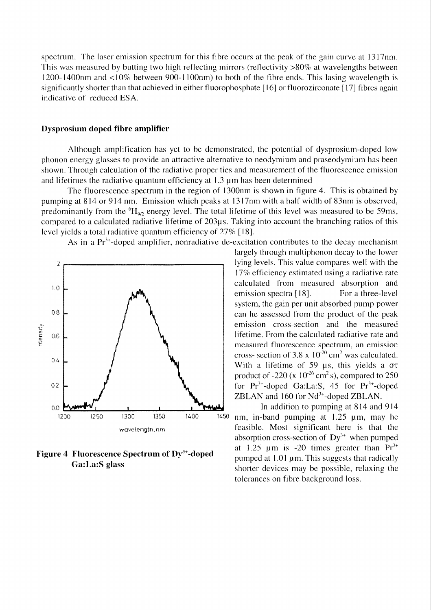spectrum. The laser emission spectrum for this fibre occurs at the peak of the gain curve at 1317nm. This was measured by butting two high reflecting mirrors (reflectivity >80% at wavelengths between 1200-1400nm and  $\langle 10\%$  between 900-1100nm) to both of the fibre ends. This lasing wavelength is significantly shorter than that achieved in either fluorophosphate [16] or fluorozirconate [17] fibres again indicative of reduced ESA.

#### **Dysprosium doped fibre amplifier**

Although amplification has yet to be demonstrated, the potential of dysprosium-doped low phonon energy glasses to provide an attractive alternative to neodymium and praseodymium has been shown. Through calculation of the radiative proper ties and measurement of the fluorescence emission and lifetimes the radiative quantum efficiency at  $1.3 \mu$ m has been determined

The fluorescence spectrum in the region of 1300nm is shown in figure 4. This is obtained by pumping at 814 or 914 nm. Emission which peaks at 1317nm with a half width of 83nm is observed, predominantly from the  ${}^{6}H_{90}$  energy level. The total lifetime of this level was measured to be 59ms, compared to a calculated radiative lifetime of 203µs. Taking into account the branching ratios of this level yields a total radiative quantum efficiency of  $27\%$  [18].

As in a  $Pr<sup>3+</sup>$ -doped amplifier, nonradiative de-excitation contributes to the decay mechanism



Figure 4 Fluorescence Spectrum of Dy<sup>3+</sup>-doped Ga:La:S glass

largely through multiphonon decay to the lower lying levels. This value compares well with the 17% efficiency estimated using a radiative rate calculated from measured absorption and emission spectra [18]. For a three-level system, the gain per unit absorbed pump power can he assessed from the product of the peak emission cross-section and the measured lifetime. From the calculated radiative rate and measured fluorescence spectrum, an emission cross- section of 3.8 x  $10^{-20}$  cm<sup>2</sup> was calculated. With a lifetime of 59  $\mu$ s, this yields a  $\sigma\tau$ product of -220 ( $x \ 10^{-26}$  cm<sup>2</sup> s), compared to 250 for  $Pr^{3+}$ -doped Ga:La:S, 45 for  $Pr^{3+}$ -doped ZBLAN and 160 for Nd<sup>3+</sup>-doped ZBLAN.

In addition to pumping at 814 and 914 nm, in-band pumping at 1.25 um, may he feasible. Most significant here is that the absorption cross-section of  $Dy^{3+}$  when pumped at 1.25  $\mu$ m is -20 times greater than  $Pr^{3+}$ pumped at 1.01 um. This suggests that radically shorter devices may be possible, relaxing the tolerances on fibre background loss.